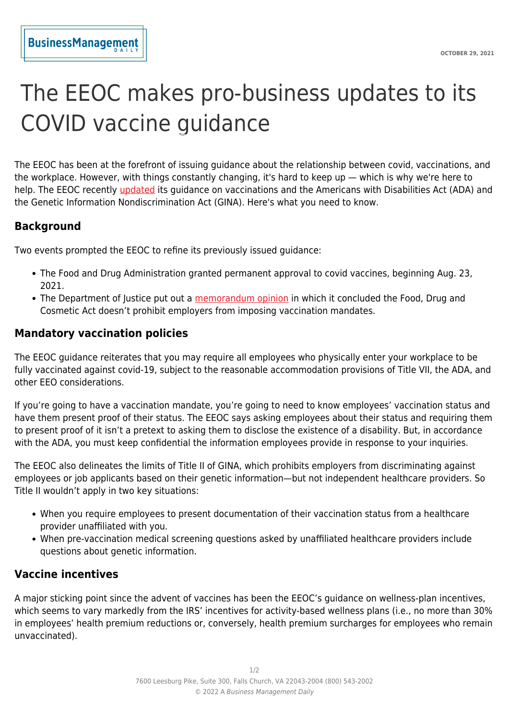## The EEOC makes pro-business updates to its COVID vaccine guidance

The EEOC has been at the forefront of issuing guidance about the relationship between covid, vaccinations, and the workplace. However, with things constantly changing, it's hard to keep up — which is why we're here to help. The EEOC recently [updated](https://www.eeoc.gov/wysk/what-you-should-know-about-covid-19-and-ada-rehabilitation-act-and-other-eeo-laws#K) its guidance on vaccinations and the Americans with Disabilities Act (ADA) and the Genetic Information Nondiscrimination Act (GINA). Here's what you need to know.

## **Background**

Two events prompted the EEOC to refine its previously issued guidance:

- The Food and Drug Administration granted permanent approval to covid vaccines, beginning Aug. 23, 2021.
- The Department of Justice put out a [memorandum opinion](https://www.payrolllegalalert.com/1945/deltas-spread-raises-the-mandatory-vax-question-once-again) in which it concluded the Food, Drug and Cosmetic Act doesn't prohibit employers from imposing vaccination mandates.

## **Mandatory vaccination policies**

The EEOC guidance reiterates that you may require all employees who physically enter your workplace to be fully vaccinated against covid-19, subject to the reasonable accommodation provisions of Title VII, the ADA, and other EEO considerations.

If you're going to have a vaccination mandate, you're going to need to know employees' vaccination status and have them present proof of their status. The EEOC says asking employees about their status and requiring them to present proof of it isn't a pretext to asking them to disclose the existence of a disability. But, in accordance with the ADA, you must keep confidential the information employees provide in response to your inquiries.

The EEOC also delineates the limits of Title II of GINA, which prohibits employers from discriminating against employees or job applicants based on their genetic information—but not independent healthcare providers. So Title II wouldn't apply in two key situations:

- When you require employees to present documentation of their vaccination status from a healthcare provider unaffiliated with you.
- When pre-vaccination medical screening questions asked by unaffiliated healthcare providers include questions about genetic information.

## **Vaccine incentives**

A major sticking point since the advent of vaccines has been the EEOC's guidance on wellness-plan incentives, which seems to vary markedly from the IRS' incentives for activity-based wellness plans (i.e., no more than 30% in employees' health premium reductions or, conversely, health premium surcharges for employees who remain unvaccinated).